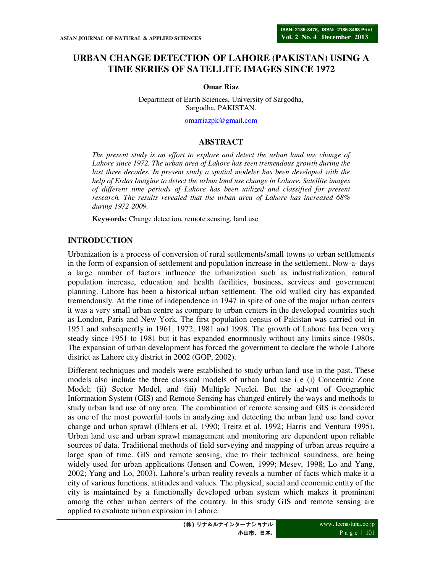# **URBAN CHANGE DETECTION OF LAHORE (PAKISTAN) USING A TIME SERIES OF SATELLITE IMAGES SINCE 1972**

#### **Omar Riaz**

Department of Earth Sciences, University of Sargodha, Sargodha, PAKISTAN.

omarriazpk@gmail.com

#### **ABSTRACT**

*The present study is an effort to explore and detect the urban land use change of Lahore since 1972. The urban area of Lahore has seen tremendous growth during the*  last three decades. In present study a spatial modeler has been developed with the *help of Erdas Imagine to detect the urban land use change in Lahore. Satellite images of different time periods of Lahore has been utilized and classified for present research. The results revealed that the urban area of Lahore has increased 68% during 1972-2009.* 

**Keywords:** Change detection, remote sensing, land use

### **INTRODUCTION**

Urbanization is a process of conversion of rural settlements/small towns to urban settlements in the form of expansion of settlement and population increase in the settlement. Now-a- days a large number of factors influence the urbanization such as industrialization, natural population increase, education and health facilities, business, services and government planning. Lahore has been a historical urban settlement. The old walled city has expanded tremendously. At the time of independence in 1947 in spite of one of the major urban centers it was a very small urban centre as compare to urban centers in the developed countries such as London, Paris and New York. The first population census of Pakistan was carried out in 1951 and subsequently in 1961, 1972, 1981 and 1998. The growth of Lahore has been very steady since 1951 to 1981 but it has expanded enormously without any limits since 1980s. The expansion of urban development has forced the government to declare the whole Lahore district as Lahore city district in 2002 (GOP, 2002).

Different techniques and models were established to study urban land use in the past. These models also include the three classical models of urban land use i e (i) Concentric Zone Model; (ii) Sector Model, and (iii) Multiple Nuclei. But the advent of Geographic Information System (GIS) and Remote Sensing has changed entirely the ways and methods to study urban land use of any area. The combination of remote sensing and GIS is considered as one of the most powerful tools in analyzing and detecting the urban land use land cover change and urban sprawl (Ehlers et al. 1990; Treitz et al. 1992; Harris and Ventura 1995). Urban land use and urban sprawl management and monitoring are dependent upon reliable sources of data. Traditional methods of field surveying and mapping of urban areas require a large span of time. GIS and remote sensing, due to their technical soundness, are being widely used for urban applications (Jensen and Cowen, 1999; Mesev, 1998; Lo and Yang, 2002; Yang and Lo, 2003). Lahore's urban reality reveals a number of facts which make it a city of various functions, attitudes and values. The physical, social and economic entity of the city is maintained by a functionally developed urban system which makes it prominent among the other urban centers of the country. In this study GIS and remote sensing are applied to evaluate urban explosion in Lahore.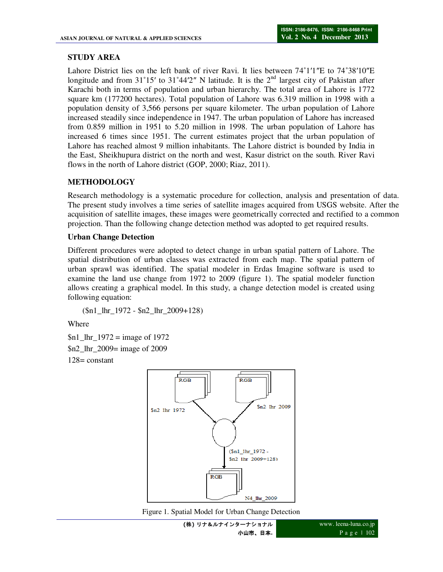# **STUDY AREA**

Lahore District lies on the left bank of river Ravi. It lies between 74˚1′1″E to 74˚38′10″E longitude and from  $31^{\circ}15'$  to  $31^{\circ}44'2''$  N latitude. It is the  $2<sup>nd</sup>$  largest city of Pakistan after Karachi both in terms of population and urban hierarchy. The total area of Lahore is 1772 square km (177200 hectares). Total population of Lahore was 6.319 million in 1998 with a population density of 3,566 persons per square kilometer. The urban population of Lahore increased steadily since independence in 1947. The urban population of Lahore has increased from 0.859 million in 1951 to 5.20 million in 1998. The urban population of Lahore has increased 6 times since 1951. The current estimates project that the urban population of Lahore has reached almost 9 million inhabitants. The Lahore district is bounded by India in the East, Sheikhupura district on the north and west, Kasur district on the south. River Ravi flows in the north of Lahore district (GOP, 2000; Riaz, 2011).

# **METHODOLOGY**

Research methodology is a systematic procedure for collection, analysis and presentation of data. The present study involves a time series of satellite images acquired from USGS website. After the acquisition of satellite images, these images were geometrically corrected and rectified to a common projection. Than the following change detection method was adopted to get required results.

### **Urban Change Detection**

Different procedures were adopted to detect change in urban spatial pattern of Lahore. The spatial distribution of urban classes was extracted from each map. The spatial pattern of urban sprawl was identified. The spatial modeler in Erdas Imagine software is used to examine the land use change from 1972 to 2009 (figure 1). The spatial modeler function allows creating a graphical model. In this study, a change detection model is created using following equation:

(\$n1\_lhr\_1972 - \$n2\_lhr\_2009+128)

Where

 $$n1_lhr_1972 = image of 1972$ \$n2\_lhr\_2009= image of 2009 128= constant



Figure 1. Spatial Model for Urban Change Detection

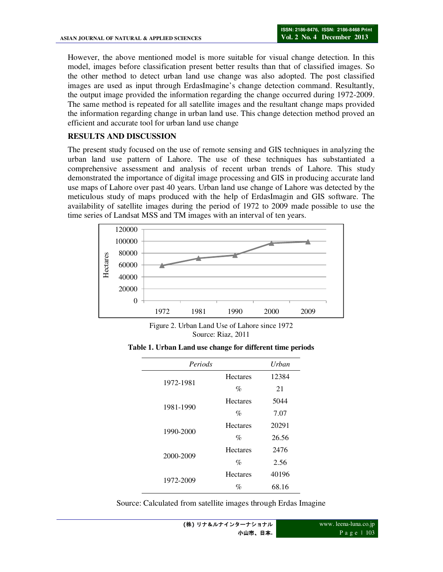However, the above mentioned model is more suitable for visual change detection. In this model, images before classification present better results than that of classified images. So the other method to detect urban land use change was also adopted. The post classified images are used as input through ErdasImagine's change detection command. Resultantly, the output image provided the information regarding the change occurred during 1972-2009. The same method is repeated for all satellite images and the resultant change maps provided the information regarding change in urban land use. This change detection method proved an efficient and accurate tool for urban land use change

## **RESULTS AND DISCUSSION**

The present study focused on the use of remote sensing and GIS techniques in analyzing the urban land use pattern of Lahore. The use of these techniques has substantiated a comprehensive assessment and analysis of recent urban trends of Lahore. This study demonstrated the importance of digital image processing and GIS in producing accurate land use maps of Lahore over past 40 years. Urban land use change of Lahore was detected by the meticulous study of maps produced with the help of ErdasImagin and GIS software. The availability of satellite images during the period of 1972 to 2009 made possible to use the time series of Landsat MSS and TM images with an interval of ten years.



Figure 2. Urban Land Use of Lahore since 1972 Source: Riaz, 2011

**Table 1. Urban Land use change for different time periods** 

| Periods   |                 | Urban |
|-----------|-----------------|-------|
| 1972-1981 | <b>Hectares</b> | 12384 |
|           | $\%$            | 21    |
| 1981-1990 | <b>Hectares</b> | 5044  |
|           | $\%$            | 7.07  |
| 1990-2000 | <b>Hectares</b> | 20291 |
|           | $\%$            | 26.56 |
| 2000-2009 | <b>Hectares</b> | 2476  |
|           | $\%$            | 2.56  |
| 1972-2009 | <b>Hectares</b> | 40196 |
|           | $\%$            | 68.16 |

Source: Calculated from satellite images through Erdas Imagine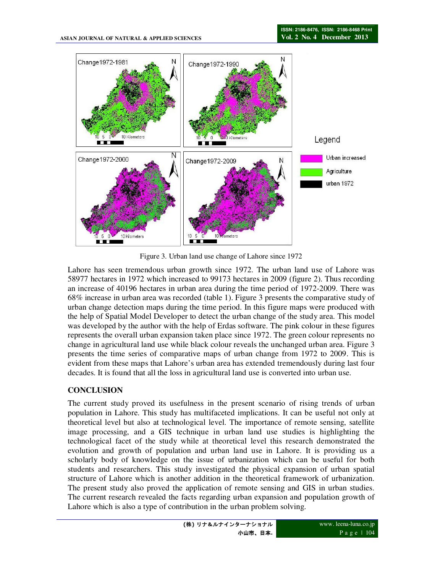

Figure 3. Urban land use change of Lahore since 1972

Lahore has seen tremendous urban growth since 1972. The urban land use of Lahore was 58977 hectares in 1972 which increased to 99173 hectares in 2009 (figure 2). Thus recording an increase of 40196 hectares in urban area during the time period of 1972-2009. There was 68% increase in urban area was recorded (table 1). Figure 3 presents the comparative study of urban change detection maps during the time period. In this figure maps were produced with the help of Spatial Model Developer to detect the urban change of the study area. This model was developed by the author with the help of Erdas software. The pink colour in these figures represents the overall urban expansion taken place since 1972. The green colour represents no change in agricultural land use while black colour reveals the unchanged urban area. Figure 3 presents the time series of comparative maps of urban change from 1972 to 2009. This is evident from these maps that Lahore's urban area has extended tremendously during last four decades. It is found that all the loss in agricultural land use is converted into urban use.

# **CONCLUSION**

The current study proved its usefulness in the present scenario of rising trends of urban population in Lahore. This study has multifaceted implications. It can be useful not only at theoretical level but also at technological level. The importance of remote sensing, satellite image processing, and a GIS technique in urban land use studies is highlighting the technological facet of the study while at theoretical level this research demonstrated the evolution and growth of population and urban land use in Lahore. It is providing us a scholarly body of knowledge on the issue of urbanization which can be useful for both students and researchers. This study investigated the physical expansion of urban spatial structure of Lahore which is another addition in the theoretical framework of urbanization. The present study also proved the application of remote sensing and GIS in urban studies. The current research revealed the facts regarding urban expansion and population growth of Lahore which is also a type of contribution in the urban problem solving.